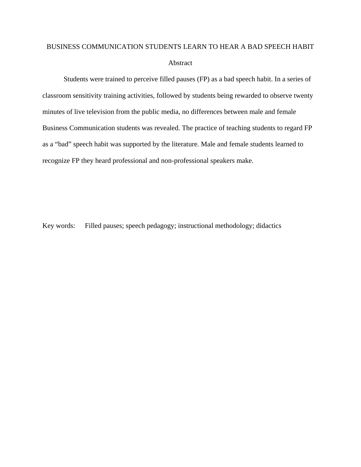# BUSINESS COMMUNICATION STUDENTS LEARN TO HEAR A BAD SPEECH HABIT Abstract

Students were trained to perceive filled pauses (FP) as a bad speech habit. In a series of classroom sensitivity training activities, followed by students being rewarded to observe twenty minutes of live television from the public media, no differences between male and female Business Communication students was revealed. The practice of teaching students to regard FP as a "bad" speech habit was supported by the literature. Male and female students learned to recognize FP they heard professional and non-professional speakers make.

Key words: Filled pauses; speech pedagogy; instructional methodology; didactics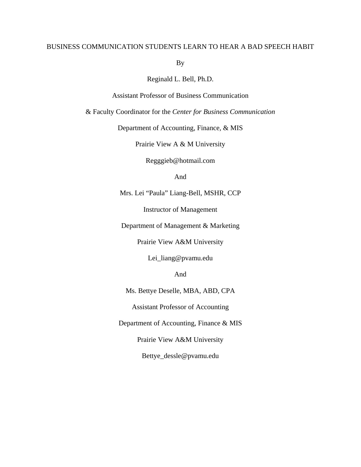### BUSINESS COMMUNICATION STUDENTS LEARN TO HEAR A BAD SPEECH HABIT

By

Reginald L. Bell, Ph.D.

Assistant Professor of Business Communication

& Faculty Coordinator for the *Center for Business Communication*

Department of Accounting, Finance, & MIS

Prairie View A & M University

[Regggieb@hotmail.com](mailto:Regggieb@hotmail.com)

And

Mrs. Lei "Paula" Liang-Bell, MSHR, CCP

Instructor of Management

Department of Management & Marketing

Prairie View A&M University

Lei\_liang@pvamu.edu

And

Ms. Bettye Deselle, MBA, ABD, CPA

Assistant Professor of Accounting

Department of Accounting, Finance & MIS

Prairie View A&M University

Bettye\_dessle@pvamu.edu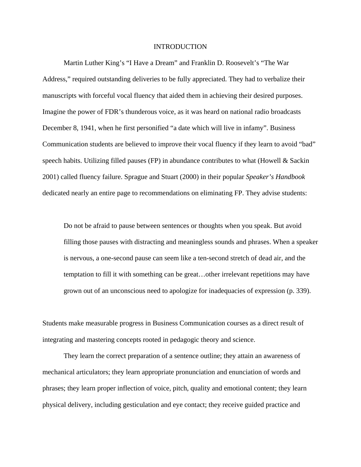#### INTRODUCTION

Martin Luther King's "I Have a Dream" and Franklin D. Roosevelt's "The War Address," required outstanding deliveries to be fully appreciated. They had to verbalize their manuscripts with forceful vocal fluency that aided them in achieving their desired purposes. Imagine the power of FDR's thunderous voice, as it was heard on national radio broadcasts December 8, 1941, when he first personified "a date which will live in infamy". Business Communication students are believed to improve their vocal fluency if they learn to avoid "bad" speech habits. Utilizing filled pauses (FP) in abundance contributes to what (Howell  $\&$  Sackin 2001) called fluency failure. Sprague and Stuart (2000) in their popular *Speaker's Handbook* dedicated nearly an entire page to recommendations on eliminating FP. They advise students:

Do not be afraid to pause between sentences or thoughts when you speak. But avoid filling those pauses with distracting and meaningless sounds and phrases. When a speaker is nervous, a one-second pause can seem like a ten-second stretch of dead air, and the temptation to fill it with something can be great…other irrelevant repetitions may have grown out of an unconscious need to apologize for inadequacies of expression (p. 339).

Students make measurable progress in Business Communication courses as a direct result of integrating and mastering concepts rooted in pedagogic theory and science.

They learn the correct preparation of a sentence outline; they attain an awareness of mechanical articulators; they learn appropriate pronunciation and enunciation of words and phrases; they learn proper inflection of voice, pitch, quality and emotional content; they learn physical delivery, including gesticulation and eye contact; they receive guided practice and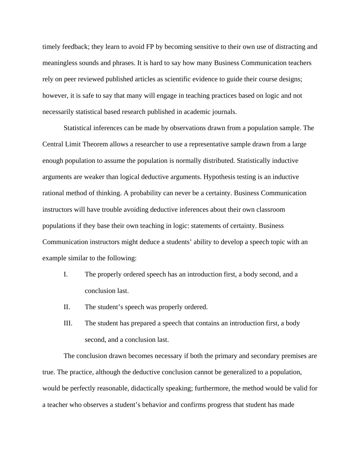timely feedback; they learn to avoid FP by becoming sensitive to their own use of distracting and meaningless sounds and phrases. It is hard to say how many Business Communication teachers rely on peer reviewed published articles as scientific evidence to guide their course designs; however, it is safe to say that many will engage in teaching practices based on logic and not necessarily statistical based research published in academic journals.

Statistical inferences can be made by observations drawn from a population sample. The Central Limit Theorem allows a researcher to use a representative sample drawn from a large enough population to assume the population is normally distributed. Statistically inductive arguments are weaker than logical deductive arguments. Hypothesis testing is an inductive rational method of thinking. A probability can never be a certainty. Business Communication instructors will have trouble avoiding deductive inferences about their own classroom populations if they base their own teaching in logic: statements of certainty. Business Communication instructors might deduce a students' ability to develop a speech topic with an example similar to the following:

- I. The properly ordered speech has an introduction first, a body second, and a conclusion last.
- II. The student's speech was properly ordered.
- III. The student has prepared a speech that contains an introduction first, a body second, and a conclusion last.

The conclusion drawn becomes necessary if both the primary and secondary premises are true. The practice, although the deductive conclusion cannot be generalized to a population, would be perfectly reasonable, didactically speaking; furthermore, the method would be valid for a teacher who observes a student's behavior and confirms progress that student has made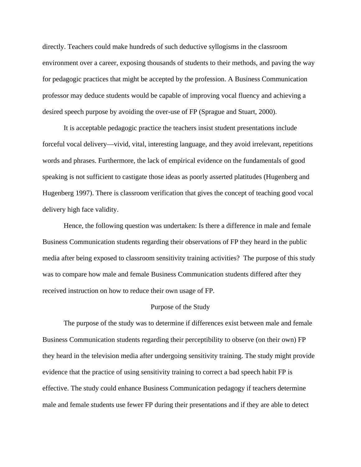directly. Teachers could make hundreds of such deductive syllogisms in the classroom environment over a career, exposing thousands of students to their methods, and paving the way for pedagogic practices that might be accepted by the profession. A Business Communication professor may deduce students would be capable of improving vocal fluency and achieving a desired speech purpose by avoiding the over-use of FP (Sprague and Stuart, 2000).

It is acceptable pedagogic practice the teachers insist student presentations include forceful vocal delivery—vivid, vital, interesting language, and they avoid irrelevant, repetitions words and phrases. Furthermore, the lack of empirical evidence on the fundamentals of good speaking is not sufficient to castigate those ideas as poorly asserted platitudes (Hugenberg and Hugenberg 1997). There is classroom verification that gives the concept of teaching good vocal delivery high face validity.

Hence, the following question was undertaken: Is there a difference in male and female Business Communication students regarding their observations of FP they heard in the public media after being exposed to classroom sensitivity training activities? The purpose of this study was to compare how male and female Business Communication students differed after they received instruction on how to reduce their own usage of FP.

#### Purpose of the Study

The purpose of the study was to determine if differences exist between male and female Business Communication students regarding their perceptibility to observe (on their own) FP they heard in the television media after undergoing sensitivity training. The study might provide evidence that the practice of using sensitivity training to correct a bad speech habit FP is effective. The study could enhance Business Communication pedagogy if teachers determine male and female students use fewer FP during their presentations and if they are able to detect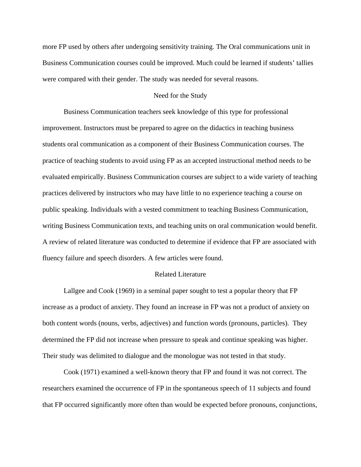more FP used by others after undergoing sensitivity training. The Oral communications unit in Business Communication courses could be improved. Much could be learned if students' tallies were compared with their gender. The study was needed for several reasons.

### Need for the Study

Business Communication teachers seek knowledge of this type for professional improvement. Instructors must be prepared to agree on the didactics in teaching business students oral communication as a component of their Business Communication courses. The practice of teaching students to avoid using FP as an accepted instructional method needs to be evaluated empirically. Business Communication courses are subject to a wide variety of teaching practices delivered by instructors who may have little to no experience teaching a course on public speaking. Individuals with a vested commitment to teaching Business Communication, writing Business Communication texts, and teaching units on oral communication would benefit. A review of related literature was conducted to determine if evidence that FP are associated with fluency failure and speech disorders. A few articles were found.

### Related Literature

Lallgee and Cook (1969) in a seminal paper sought to test a popular theory that FP increase as a product of anxiety. They found an increase in FP was not a product of anxiety on both content words (nouns, verbs, adjectives) and function words (pronouns, particles). They determined the FP did not increase when pressure to speak and continue speaking was higher. Their study was delimited to dialogue and the monologue was not tested in that study.

Cook (1971) examined a well-known theory that FP and found it was not correct. The researchers examined the occurrence of FP in the spontaneous speech of 11 subjects and found that FP occurred significantly more often than would be expected before pronouns, conjunctions,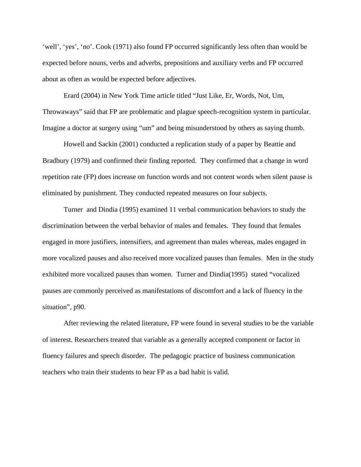'well', 'yes', 'no'. Cook (1971) also found FP occurred significantly less often than would be expected before nouns, verbs and adverbs, prepositions and auxiliary verbs and FP occurred about as often as would be expected before adjectives.

Erard (2004) in New York Time article titled "Just Like, Er, Words, Not, Um, Throwaways" said that FP are problematic and plague speech-recognition system in particular. Imagine a doctor at surgery using "um" and being misunderstood by others as saying thumb.

Howell and Sackin (2001) conducted a replication study of a paper by Beattie and Bradbury (1979) and confirmed their finding reported. They confirmed that a change in word repetition rate (FP) does increase on function words and not content words when silent pause is eliminated by punishment. They conducted repeated measures on four subjects.

Turner and Dindia (1995) examined 11 verbal communication behaviors to study the discrimination between the verbal behavior of males and females. They found that females engaged in more justifiers, intensifiers, and agreement than males whereas, males engaged in more vocalized pauses and also received more vocalized pauses than females. Men in the study exhibited more vocalized pauses than women. Turner and Dindia(1995) stated "vocalized pauses are commonly perceived as manifestations of discomfort and a lack of fluency in the situation", p90.

After reviewing the related literature, FP were found in several studies to be the variable of interest. Researchers treated that variable as a generally accepted component or factor in fluency failures and speech disorder. The pedagogic practice of business communication teachers who train their students to hear FP as a bad habit is valid.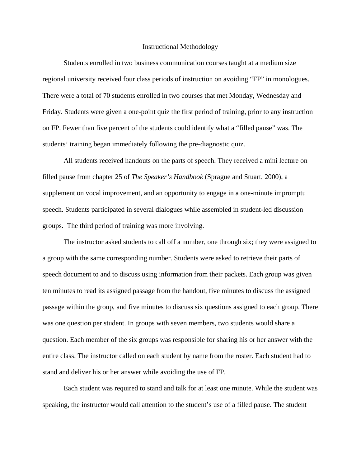#### Instructional Methodology

Students enrolled in two business communication courses taught at a medium size regional university received four class periods of instruction on avoiding "FP" in monologues. There were a total of 70 students enrolled in two courses that met Monday, Wednesday and Friday. Students were given a one-point quiz the first period of training, prior to any instruction on FP. Fewer than five percent of the students could identify what a "filled pause" was. The students' training began immediately following the pre-diagnostic quiz.

All students received handouts on the parts of speech. They received a mini lecture on filled pause from chapter 25 of *The Speaker's Handbook* (Sprague and Stuart, 2000), a supplement on vocal improvement, and an opportunity to engage in a one-minute impromptu speech. Students participated in several dialogues while assembled in student-led discussion groups. The third period of training was more involving.

The instructor asked students to call off a number, one through six; they were assigned to a group with the same corresponding number. Students were asked to retrieve their parts of speech document to and to discuss using information from their packets. Each group was given ten minutes to read its assigned passage from the handout, five minutes to discuss the assigned passage within the group, and five minutes to discuss six questions assigned to each group. There was one question per student. In groups with seven members, two students would share a question. Each member of the six groups was responsible for sharing his or her answer with the entire class. The instructor called on each student by name from the roster. Each student had to stand and deliver his or her answer while avoiding the use of FP.

Each student was required to stand and talk for at least one minute. While the student was speaking, the instructor would call attention to the student's use of a filled pause. The student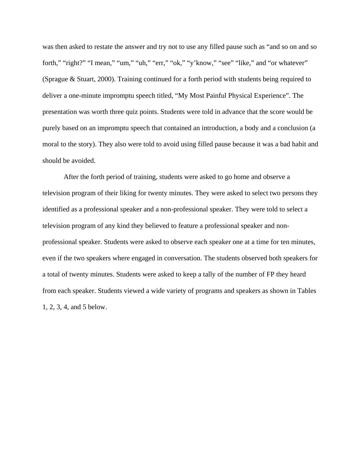was then asked to restate the answer and try not to use any filled pause such as "and so on and so forth," "right?" "I mean," "um," "uh," "err," "ok," "y'know," "see" "like," and "or whatever" (Sprague & Stuart, 2000). Training continued for a forth period with students being required to deliver a one-minute impromptu speech titled, "My Most Painful Physical Experience"*.* The presentation was worth three quiz points. Students were told in advance that the score would be purely based on an impromptu speech that contained an introduction, a body and a conclusion (a moral to the story). They also were told to avoid using filled pause because it was a bad habit and should be avoided.

 After the forth period of training, students were asked to go home and observe a television program of their liking for twenty minutes. They were asked to select two persons they identified as a professional speaker and a non-professional speaker. They were told to select a television program of any kind they believed to feature a professional speaker and nonprofessional speaker. Students were asked to observe each speaker one at a time for ten minutes, even if the two speakers where engaged in conversation. The students observed both speakers for a total of twenty minutes. Students were asked to keep a tally of the number of FP they heard from each speaker. Students viewed a wide variety of programs and speakers as shown in Tables 1, 2, 3, 4, and 5 below.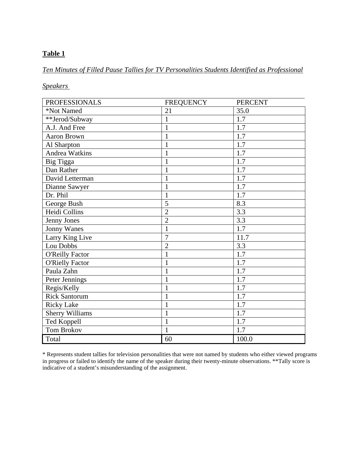# *Ten Minutes of Filled Pause Tallies for TV Personalities Students Identified as Professional*

*Speakers* 

| <b>PROFESSIONALS</b>   | <b>FREQUENCY</b> | <b>PERCENT</b> |
|------------------------|------------------|----------------|
| *Not Named             | 21               | 35.0           |
| **Jerod/Subway         | 1                | 1.7            |
| A.J. And Free          | 1                | 1.7            |
| Aaron Brown            | 1                | 1.7            |
| Al Sharpton            | $\mathbf{1}$     | 1.7            |
| <b>Andrea Watkins</b>  | 1                | 1.7            |
| Big Tigga              | 1                | 1.7            |
| Dan Rather             | 1                | 1.7            |
| David Letterman        | 1                | 1.7            |
| Dianne Sawyer          |                  | 1.7            |
| Dr. Phil               | 1                | 1.7            |
| George Bush            | 5                | 8.3            |
| Heidi Collins          | $\overline{2}$   | 3.3            |
| Jenny Jones            | $\overline{2}$   | 3.3            |
| <b>Jonny Wanes</b>     | 1                | 1.7            |
| Larry King Live        | $\overline{7}$   | 11.7           |
| Lou Dobbs              | $\overline{2}$   | 3.3            |
| <b>O'Reilly Factor</b> | $\mathbf{1}$     | 1.7            |
| <b>O'Rielly Factor</b> | 1                | 1.7            |
| Paula Zahn             | 1                | 1.7            |
| Peter Jennings         | 1                | 1.7            |
| Regis/Kelly            | 1                | 1.7            |
| <b>Rick Santorum</b>   | 1                | 1.7            |
| <b>Ricky Lake</b>      | 1                | 1.7            |
| <b>Sherry Williams</b> | 1                | 1.7            |
| Ted Koppell            | 1                | 1.7            |
| Tom Brokov             | 1                | 1.7            |
| Total                  | 60               | 100.0          |

\* Represents student tallies for television personalities that were not named by students who either viewed programs in progress or failed to identify the name of the speaker during their twenty-minute observations. \*\*Tally score is indicative of a student's misunderstanding of the assignment.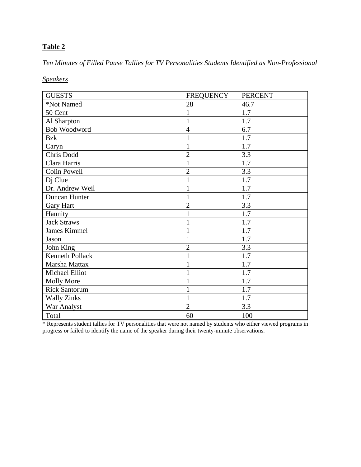*Ten Minutes of Filled Pause Tallies for TV Personalities Students Identified as Non-Professional* 

*Speakers*

| <b>GUESTS</b>        | <b>FREQUENCY</b> | <b>PERCENT</b> |
|----------------------|------------------|----------------|
| *Not Named           | 28               | 46.7           |
| 50 Cent              | 1                | 1.7            |
| Al Sharpton          | $\mathbf{1}$     | 1.7            |
| Bob Woodword         | $\overline{4}$   | 6.7            |
| <b>Bzk</b>           | 1                | 1.7            |
| Caryn                | 1                | 1.7            |
| Chris Dodd           | $\overline{2}$   | 3.3            |
| Clara Harris         | $\mathbf{1}$     | 1.7            |
| <b>Colin Powell</b>  | $\overline{2}$   | 3.3            |
| Dj Clue              |                  | 1.7            |
| Dr. Andrew Weil      | $\mathbf{1}$     | 1.7            |
| Duncan Hunter        | 1                | 1.7            |
| <b>Gary Hart</b>     | $\overline{2}$   | 3.3            |
| Hannity              | $\mathbf{1}$     | 1.7            |
| <b>Jack Straws</b>   | 1                | 1.7            |
| <b>James Kimmel</b>  | 1                | 1.7            |
| Jason                | 1                | 1.7            |
| John King            | $\overline{2}$   | 3.3            |
| Kenneth Pollack      | $\mathbf{1}$     | 1.7            |
| Marsha Mattax        | 1                | 1.7            |
| Michael Elliot       |                  | 1.7            |
| <b>Molly More</b>    | $\mathbf{1}$     | 1.7            |
| <b>Rick Santorum</b> | 1                | 1.7            |
| <b>Wally Zinks</b>   | $\mathbf{1}$     | 1.7            |
| War Analyst          | $\overline{2}$   | 3.3            |
| Total                | 60               | 100            |

\* Represents student tallies for TV personalities that were not named by students who either viewed programs in progress or failed to identify the name of the speaker during their twenty-minute observations.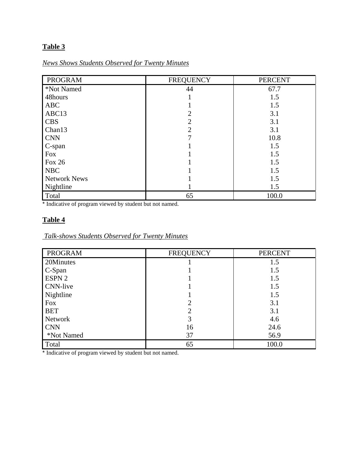# *News Shows Students Observed for Twenty Minutes*

| PROGRAM             | <b>FREQUENCY</b> | <b>PERCENT</b> |
|---------------------|------------------|----------------|
| *Not Named          | 44               | 67.7           |
| 48hours             |                  | 1.5            |
| <b>ABC</b>          |                  | 1.5            |
| ABC13               | 2                | 3.1            |
| <b>CBS</b>          | 2                | 3.1            |
| Chan13              | 2                | 3.1            |
| <b>CNN</b>          |                  | 10.8           |
| C-span              |                  | 1.5            |
| <b>Fox</b>          |                  | 1.5            |
| Fox 26              |                  | 1.5            |
| <b>NBC</b>          |                  | 1.5            |
| <b>Network News</b> |                  | 1.5            |
| Nightline           |                  | 1.5            |
| Total               | 65               | 100.0          |

\* Indicative of program viewed by student but not named.

## **Table 4**

# *Talk-shows Students Observed for Twenty Minutes*

| <b>PROGRAM</b>  | <b>FREQUENCY</b> | <b>PERCENT</b> |
|-----------------|------------------|----------------|
| 20Minutes       |                  | 1.5            |
| C-Span          |                  | 1.5            |
| ESPN 2          |                  | 1.5            |
| <b>CNN-live</b> |                  | 1.5            |
| Nightline       |                  | 1.5            |
| <b>Fox</b>      |                  | 3.1            |
| <b>BET</b>      |                  | 3.1            |
| Network         | 3                | 4.6            |
| <b>CNN</b>      | 16               | 24.6           |
| *Not Named      | 37               | 56.9           |
| Total           | 65               | 100.0          |

\* Indicative of program viewed by student but not named.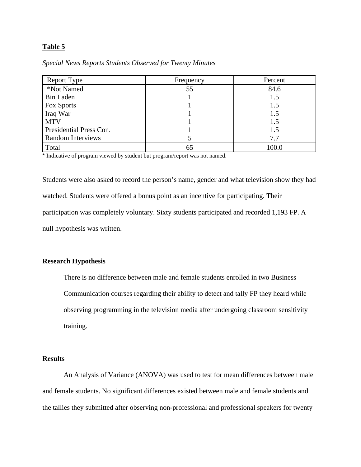### *Special News Reports Students Observed for Twenty Minutes*

| Report Type              | Frequency | Percent |
|--------------------------|-----------|---------|
| *Not Named               | 55        | 84.6    |
| <b>Bin Laden</b>         |           | 1.5     |
| Fox Sports               |           | 1.5     |
| Iraq War                 |           | 1.5     |
| <b>MTV</b>               |           | 1.5     |
| Presidential Press Con.  |           | 1.5     |
| <b>Random Interviews</b> |           | 7.7     |
| Total                    | 65        | 100.0   |

\* Indicative of program viewed by student but program/report was not named.

Students were also asked to record the person's name, gender and what television show they had watched. Students were offered a bonus point as an incentive for participating. Their participation was completely voluntary. Sixty students participated and recorded 1,193 FP. A null hypothesis was written.

### **Research Hypothesis**

There is no difference between male and female students enrolled in two Business Communication courses regarding their ability to detect and tally FP they heard while observing programming in the television media after undergoing classroom sensitivity training.

### **Results**

An Analysis of Variance (ANOVA) was used to test for mean differences between male and female students. No significant differences existed between male and female students and the tallies they submitted after observing non-professional and professional speakers for twenty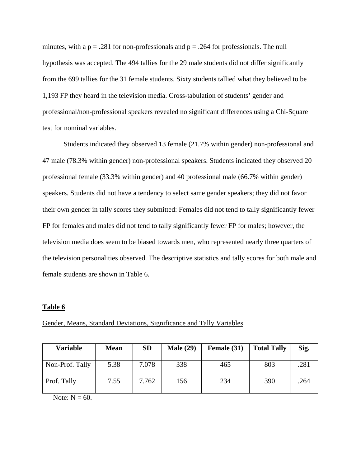minutes, with a  $p = .281$  for non-professionals and  $p = .264$  for professionals. The null hypothesis was accepted. The 494 tallies for the 29 male students did not differ significantly from the 699 tallies for the 31 female students. Sixty students tallied what they believed to be 1,193 FP they heard in the television media. Cross-tabulation of students' gender and professional/non-professional speakers revealed no significant differences using a Chi-Square test for nominal variables.

Students indicated they observed 13 female (21.7% within gender) non-professional and 47 male (78.3% within gender) non-professional speakers. Students indicated they observed 20 professional female (33.3% within gender) and 40 professional male (66.7% within gender) speakers. Students did not have a tendency to select same gender speakers; they did not favor their own gender in tally scores they submitted: Females did not tend to tally significantly fewer FP for females and males did not tend to tally significantly fewer FP for males; however, the television media does seem to be biased towards men, who represented nearly three quarters of the television personalities observed. The descriptive statistics and tally scores for both male and female students are shown in Table 6.

#### **Table 6**

| <b>Variable</b> | <b>Mean</b> | <b>SD</b> | <b>Male (29)</b> | Female (31) | <b>Total Tally</b> | Sig. |
|-----------------|-------------|-----------|------------------|-------------|--------------------|------|
| Non-Prof. Tally | 5.38        | 7.078     | 338              | 465         | 803                | .281 |
| Prof. Tally     | 7.55        | 7.762     | 156              | 234         | 390                | .264 |

Gender, Means, Standard Deviations, Significance and Tally Variables

Note:  $N = 60$ .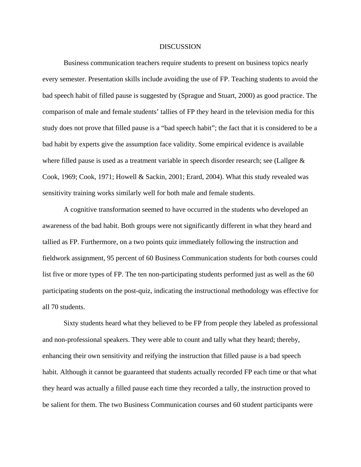#### **DISCUSSION**

Business communication teachers require students to present on business topics nearly every semester. Presentation skills include avoiding the use of FP. Teaching students to avoid the bad speech habit of filled pause is suggested by (Sprague and Stuart, 2000) as good practice. The comparison of male and female students' tallies of FP they heard in the television media for this study does not prove that filled pause is a "bad speech habit"; the fact that it is considered to be a bad habit by experts give the assumption face validity. Some empirical evidence is available where filled pause is used as a treatment variable in speech disorder research; see (Lallgee  $\&$ Cook, 1969; Cook, 1971; Howell & Sackin, 2001; Erard, 2004). What this study revealed was sensitivity training works similarly well for both male and female students.

A cognitive transformation seemed to have occurred in the students who developed an awareness of the bad habit. Both groups were not significantly different in what they heard and tallied as FP. Furthermore, on a two points quiz immediately following the instruction and fieldwork assignment, 95 percent of 60 Business Communication students for both courses could list five or more types of FP. The ten non-participating students performed just as well as the 60 participating students on the post-quiz, indicating the instructional methodology was effective for all 70 students.

Sixty students heard what they believed to be FP from people they labeled as professional and non-professional speakers. They were able to count and tally what they heard; thereby, enhancing their own sensitivity and reifying the instruction that filled pause is a bad speech habit. Although it cannot be guaranteed that students actually recorded FP each time or that what they heard was actually a filled pause each time they recorded a tally, the instruction proved to be salient for them. The two Business Communication courses and 60 student participants were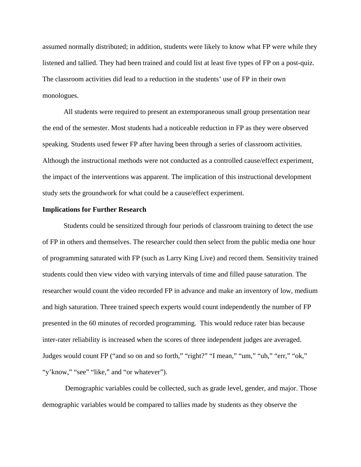assumed normally distributed; in addition, students were likely to know what FP were while they listened and tallied. They had been trained and could list at least five types of FP on a post-quiz. The classroom activities did lead to a reduction in the students' use of FP in their own monologues.

All students were required to present an extemporaneous small group presentation near the end of the semester. Most students had a noticeable reduction in FP as they were observed speaking. Students used fewer FP after having been through a series of classroom activities. Although the instructional methods were not conducted as a controlled cause/effect experiment, the impact of the interventions was apparent. The implication of this instructional development study sets the groundwork for what could be a cause/effect experiment.

#### **Implications for Further Research**

Students could be sensitized through four periods of classroom training to detect the use of FP in others and themselves. The researcher could then select from the public media one hour of programming saturated with FP (such as Larry King Live) and record them. Sensitivity trained students could then view video with varying intervals of time and filled pause saturation. The researcher would count the video recorded FP in advance and make an inventory of low, medium and high saturation. Three trained speech experts would count independently the number of FP presented in the 60 minutes of recorded programming. This would reduce rater bias because inter-rater reliability is increased when the scores of three independent judges are averaged. Judges would count FP ("and so on and so forth," "right?" "I mean," "um," "uh," "err," "ok," "y'know," "see" "like," and "or whatever").

Demographic variables could be collected, such as grade level, gender, and major. Those demographic variables would be compared to tallies made by students as they observe the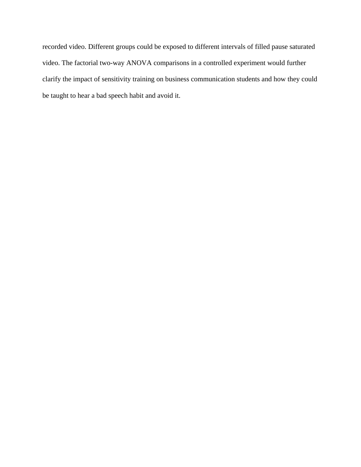recorded video. Different groups could be exposed to different intervals of filled pause saturated video. The factorial two-way ANOVA comparisons in a controlled experiment would further clarify the impact of sensitivity training on business communication students and how they could be taught to hear a bad speech habit and avoid it.